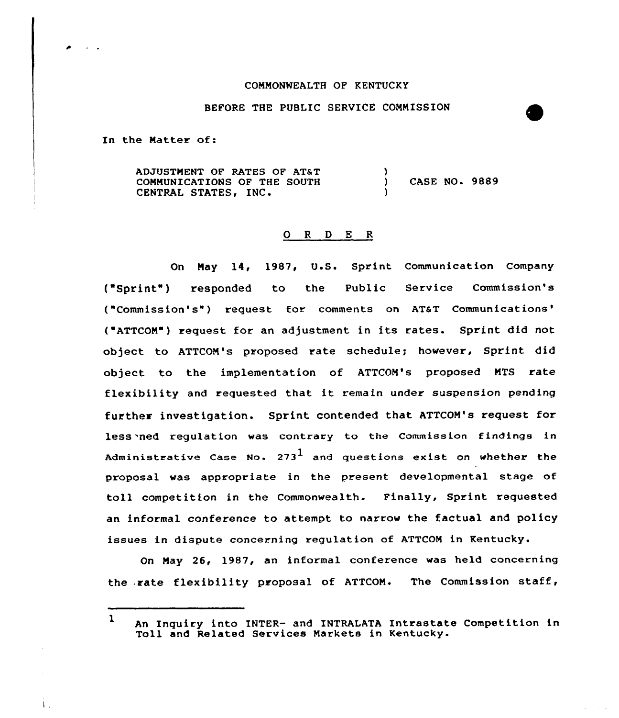## COMMONWEALTH OF KENTUCKY

## BEFORE THE PUBLIC SERVICE CONNISSION

In the Natter of:

Ť.

AOJUGTNENT 0F RATEs 0F ATST COMMUNICATIONS OF THE SOUTH CENTRAL STATES, INC.  $\frac{1}{2}$ ) CASE NO. 9889 )

## 0 <sup>R</sup> <sup>D</sup> <sup>E</sup> <sup>R</sup>

Qn Nay 14, 1987, U.S. Sprint Communication Company ("Sprint") responded to the Public Service Commission's ("Commission's") request for comments on AT&T Communications' ("ATTCOM") request for an adjustment in its rates. Sprint did not object to ATTCOM's proposed rate schedule; however, Sprint did object to the implementation of ATTCOM's proposed MTS rate flexibility and requested that it remain under suspension pending further investigation. Sprint contended that ATTCON's request for less 'ned regulation was contrary to the Commission findings in Administrative Case No. 273 $^{\text{1}}$  and questions exist on whether the proposal was appropriate in the present developmental stage of toll competition in the Commonwealth. Finally, Sprint requested an informal conference to attempt to narrow the factual and policy issues in dispute concerning regulation of ATTCON in Kentucky.

On May 26, 1987, an informal conference was held concerning the .rate flexibility proposal of ATTCOM. The Commission staff,

1 An Inquiry into INTER- and INTRALATA Intrastate Competition in Toll and Related Services Markets in Kentucky.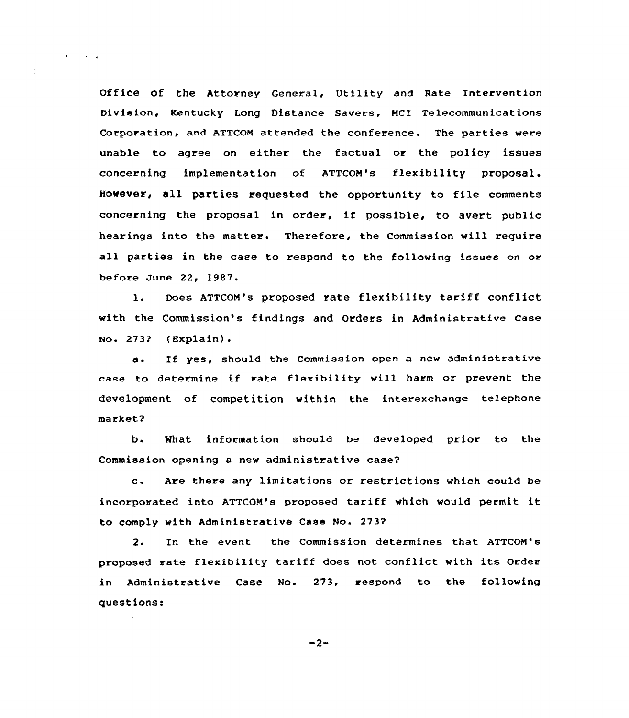Office of the Attorney General, Utility and Rate Intervention Division, Kentucky Long Distance Savers, MCI Telecommunications Corporation, and ATTCOM attended the conference. The parties were unable to agree on either the factual or the policy issues concerning implementation of ATTCOM's flexibility proposal. However, all parties requested the opportunity to file comments concerning the proposal in order, if possible, to avert public hearings into the matter. Therefore, the Commission will require all parties in the case to respond to the following issues on or before June 22, 1987.

 $\mathbf{r} = \left\{ \mathbf{r} \right\}$  ,  $\mathbf{r} = \mathbf{r}$ 

l. Does ATTCOM's proposed rate flexibility tariff conflict with the Commission's findings and Orders in Administrative Case  $No. 2737 (Explain).$ 

a. Xf yes, should the Commission open <sup>a</sup> new administrative case to determine if rate flexibility will harm or prevent the development of competition within the interexchange telephone markets'.

What information should be developed prior to the  $h<sub>1</sub>$ Commission opening a new administrative case2

c. Are there any limitations ox restrictions which could be incorporated into ATTCOM's proposed tariff which would permit it to comply with Administrative Case No. 273'?

2. In the event the Commission determines that ATTCOM's proposed rate flexibility tariff does not conflict with its Order in Administrative Case No. 273, respond to the following questions:

 $-2-$